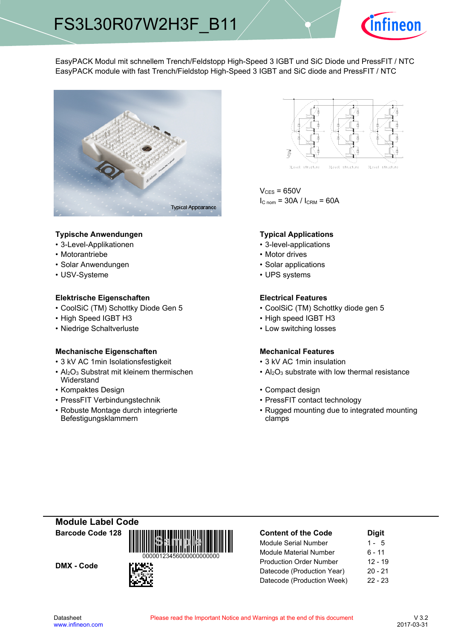

EasyPACK Modul mit schnellem Trench/Feldstopp High-Speed 3 IGBT und SiC Diode und PressFIT / NTC EasyPACK module with fast Trench/Fieldstop High-Speed 3 IGBT and SiC diode and PressFIT / NTC



## **Typische-Anwendungen Typical-**

- 3-Level-Applikationen 3-level-applications
- Motorantriebe
- Solar Anwendungen Solar-
- USV-Systeme

## **Elektrische Eigenschaften Electrical-**

- CoolSiC (TM) Schottky Diode Gen
- High Speed IGBT
- Niedrige-Schaltverluste Low-

### **Mechanische Eigenschaften Mechanical-**

- 3 kV AC 1 min-Isolationsfestigkeit 3
- Al<sub>2</sub>O<sub>3</sub> Substrat mit kleinem thermischen Widerstand
- Kompaktes Design
- PressFIT Verbindungstechnik PressFIT
- Robuste Montage durch integrierte Befestigungsklammern



 $V_{CES}$  = 650V  $I_{C \text{nom}} = 30A / I_{CRM} = 60A$ 

### **Typical Applications**

- 
- Motor drives
- Solar applications
- UPS systems

## **Electrical Features**

- 5 CoolSiC (TM) Schottky diode gen 5
- H3 High speed IGBT H3
	- switching losses

### **Mechanical Features**

- kV AC 1min insulation
- $Al_2O_3$  substrate with low thermal resistance
- Design **begins and the Compact design Compact design** 
	- contact technology
	- Rugged mounting due to integrated mounting clamps

**Module-Label-Code Barcode-Code-128**

DMX - Code



| <b>Content of the Code</b>     | <b>Digit</b> |
|--------------------------------|--------------|
| <b>Module Serial Number</b>    | $1 - 5$      |
| <b>Module Material Number</b>  | 6 - 11       |
| <b>Production Order Number</b> | $12 - 19$    |
| Datecode (Production Year)     | $20 - 21$    |
| Datecode (Production Week)     | $22 - 23$    |
|                                |              |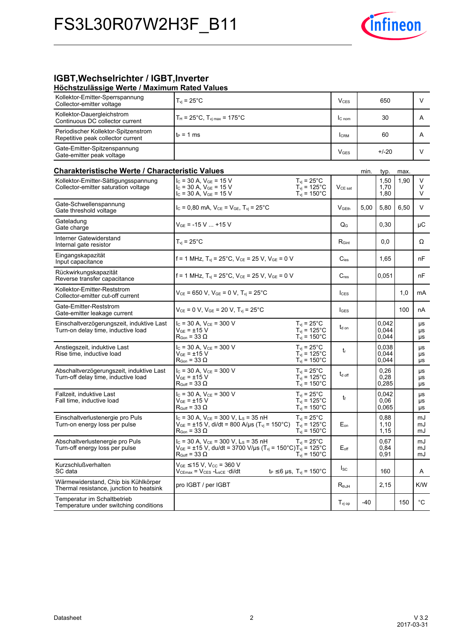

# **IGBT, Wechselrichter / IGBT, Inverter**

| Höchstzulässige Werte / Maximum Rated Values                                   |                               |                 |     |  |
|--------------------------------------------------------------------------------|-------------------------------|-----------------|-----|--|
| Kollektor-Emitter-Sperrspannung<br>Collector-emitter voltage                   | $T_{vi}$ = 25°C               | V <sub>CS</sub> | 650 |  |
| Kollektor-Dauergleichstrom<br>$\sim$ $\sim$ $\sim$ $\sim$ $\sim$ $\sim$ $\sim$ | $T_H$ = 25°C. Tvimax = 175°C. | $IC.$ nom       |     |  |

| Kollektor-Dauergleichstrom<br>Continuous DC collector current                    | $T_H = 25^{\circ}C$ , $T_{V1 \text{ max}} = 175^{\circ}C$                                                                                                                      |                                                                                       | lc <sub>nom</sub>         |       | 30                      |      | A              |
|----------------------------------------------------------------------------------|--------------------------------------------------------------------------------------------------------------------------------------------------------------------------------|---------------------------------------------------------------------------------------|---------------------------|-------|-------------------------|------|----------------|
| Periodischer Kollektor-Spitzenstrom<br>Repetitive peak collector current         | $t_P = 1$ ms                                                                                                                                                                   |                                                                                       | <b>I</b> CRM              |       | 60                      |      | A              |
| Gate-Emitter-Spitzenspannung<br>Gate-emitter peak voltage                        |                                                                                                                                                                                |                                                                                       | $V_{GES}$                 |       | $+/-20$                 |      | V              |
| <b>Charakteristische Werte / Characteristic Values</b>                           |                                                                                                                                                                                |                                                                                       |                           | min.  | typ.                    | max. |                |
| Kollektor-Emitter-Sättigungsspannung<br>Collector-emitter saturation voltage     | $I_{C}$ = 30 A, $V_{GE}$ = 15 V<br>$I_{C}$ = 30 A, $V_{GE}$ = 15 V<br>$I_C = 30 A$ , $V_{GE} = 15 V$                                                                           | $T_{vi}$ = 25 $^{\circ}$ C<br>$T_{\text{vj}}$ = 125°C<br>$T_{\rm vj} = 150^{\circ}$ C | $VCE$ sat                 |       | 1,50<br>1,70<br>1,80    | 1,90 | V<br>V<br>V    |
| Gate-Schwellenspannung<br>Gate threshold voltage                                 | $I_c = 0.80$ mA, $V_{CE} = V_{GE}$ , $T_{vi} = 25^{\circ}$ C                                                                                                                   |                                                                                       | V <sub>GEth</sub>         | 5,00  | 5,80                    | 6,50 | V              |
| Gateladung<br>Gate charge                                                        | $V_{GE}$ = -15 V  +15 V                                                                                                                                                        |                                                                                       | $\mathsf{Q}_{\mathsf{G}}$ |       | 0,30                    |      | μC             |
| Interner Gatewiderstand<br>Internal gate resistor                                | $T_{vi}$ = 25 $^{\circ}$ C                                                                                                                                                     |                                                                                       | $R_{\text{Gint}}$         |       | 0,0                     |      | Ω              |
| Eingangskapazität<br>Input capacitance                                           | $f = 1$ MHz, $T_{vj} = 25^{\circ}C$ , $V_{CE} = 25$ V, $V_{GE} = 0$ V                                                                                                          |                                                                                       | $C_{\text{ies}}$          |       | 1,65                    |      | nF             |
| Rückwirkungskapazität<br>Reverse transfer capacitance                            | f = 1 MHz, $T_{vi}$ = 25°C, $V_{CE}$ = 25 V, $V_{GE}$ = 0 V                                                                                                                    |                                                                                       | $C_{res}$                 |       | 0,051                   |      | nF             |
| Kollektor-Emitter-Reststrom<br>Collector-emitter cut-off current                 | $V_{CE}$ = 650 V, $V_{GE}$ = 0 V, $T_{vi}$ = 25°C                                                                                                                              |                                                                                       | $l_{\text{CES}}$          |       |                         | 1,0  | mA             |
| Gate-Emitter-Reststrom<br>Gate-emitter leakage current                           | $V_{CE}$ = 0 V, $V_{GE}$ = 20 V, $T_{vi}$ = 25°C                                                                                                                               |                                                                                       | <b>IGES</b>               |       |                         | 100  | nA             |
| Einschaltverzögerungszeit, induktive Last<br>Turn-on delay time, inductive load  | $I_C$ = 30 A, $V_{CE}$ = 300 V<br>V <sub>GE</sub> = ±15 V<br>$R_{\text{Gon}} = 33 \Omega$                                                                                      | $T_{\rm vj}$ = 25°C<br>$T_{\text{vj}}$ = 125°C<br>$T_{\text{vj}}$ = 150°C             | $t_{d \text{ on}}$        |       | 0,042<br>0,044<br>0,044 |      | μs<br>μs<br>μs |
| Anstiegszeit, induktive Last<br>Rise time, inductive load                        | $I_C$ = 30 A, $V_{CE}$ = 300 V<br>V <sub>GE</sub> = ±15 V<br>$\mathsf{R}_{\mathsf{Gon}}$ = 33 $\Omega$                                                                         | $T_{vi}$ = 25°C<br>$T_{\rm vj}$ = 125°C<br>$T_{vi}$ = 150 $^{\circ}$ C                | $t_{\rm r}$               |       | 0,038<br>0,044<br>0,044 |      | μs<br>μs<br>μs |
| Abschaltverzögerungszeit, induktive Last<br>Turn-off delay time, inductive load  | $I_C = 30 A$ , $V_{CE} = 300 V$<br>$V_{GE}$ = $\pm$ 15 V<br>$R_{Goff}$ = 33 $\Omega$                                                                                           | $T_{vi}$ = 25 $^{\circ}$ C<br>$T_{\rm vj}$ = 125°C<br>$T_{\rm vj} = 150^{\circ}$ C    | $t_{d \text{ off}}$       |       | 0,26<br>0,28<br>0,285   |      | μs<br>μs<br>μs |
| Fallzeit, induktive Last<br>Fall time, inductive load                            | $I_C$ = 30 A, $V_{CE}$ = 300 V<br>V <sub>GE</sub> = ±15 V<br>$\mathsf{R}_{\mathsf{Goff}}$ = 33 $\Omega$                                                                        | $T_{vi}$ = 25°C<br>$T_{vi}$ = 125°C<br>$T_{vi}$ = 150 $^{\circ}$ C                    | tr                        |       | 0.042<br>0,06<br>0.065  |      | μs<br>μs<br>μs |
| Einschaltverlustenergie pro Puls<br>Turn-on energy loss per pulse                | $I_C$ = 30 A, $V_{CE}$ = 300 V, L <sub>s</sub> = 35 nH<br>$V_{GE}$ = ±15 V, di/dt = 800 A/µs (T <sub>vi</sub> = 150°C) T <sub>vi</sub> = 125°C<br>$R_{\text{Gon}} = 33 \Omega$ | $T_{\rm vj}$ = 25°C<br>$T_{\text{vj}}$ = 150 $^{\circ}$ C                             | $E_{on}$                  |       | 0,88<br>1,10<br>1,15    |      | mJ<br>mJ<br>mJ |
| Abschaltverlustenergie pro Puls<br>Turn-off energy loss per pulse                | $I_c$ = 30 A, $V_{CE}$ = 300 V, L <sub>s</sub> = 35 nH<br>$V_{GE} = \pm 15$ V, du/dt = 3700 V/µs (T <sub>vj</sub> = 150°C) $T_{vj}$ = 125°C<br>$R_{Goff}$ = 33 $\Omega$        | $T_{vi}$ = 25 $^{\circ}$ C<br>$T_{vi} = 150^{\circ}$ C                                | $E_{\mathsf{off}}$        |       | 0.67<br>0,84<br>0,91    |      | mJ<br>mJ<br>mJ |
| Kurzschlußverhalten<br>SC data                                                   | $V_{GE}$ $\leq$ 15 V, V <sub>CC</sub> = 360 V<br>$V_{CEmax} = V_{CES} - L_{sCE} \cdot di/dt$                                                                                   | $t_P \le 6 \,\mu s$ , $T_{vi} = 150^{\circ}C$                                         | $I_{SC}$                  |       | 160                     |      | A              |
| Wärmewiderstand, Chip bis Kühlkörper<br>Thermal resistance, junction to heatsink | pro IGBT / per IGBT                                                                                                                                                            |                                                                                       | $R_{thJH}$                |       | 2,15                    |      | K/W            |
| Temperatur im Schaltbetrieb<br>Temperature under switching conditions            |                                                                                                                                                                                |                                                                                       | $T_{\text{vj op}}$        | $-40$ |                         | 150  | $^{\circ}$ C   |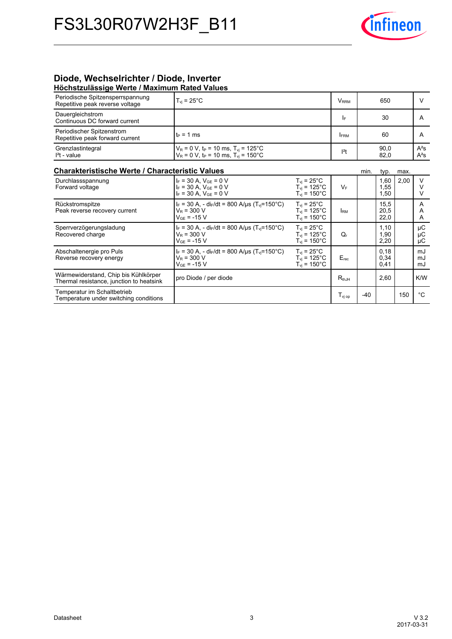

## **Diode,-Wechselrichter-/-Diode,-Inverter Höchstzulässige-Werte-/-Maximum-Rated-Values**

| <b>POSTOLEDINOOISO HOLLO / MUANTHUIT FULCU VUIDOO</b>                            |                                                                                                                               |                                                                                       |                 |      |                      |      |                       |
|----------------------------------------------------------------------------------|-------------------------------------------------------------------------------------------------------------------------------|---------------------------------------------------------------------------------------|-----------------|------|----------------------|------|-----------------------|
| Periodische Spitzensperrspannung<br>Repetitive peak reverse voltage              | $T_{vi}$ = 25 $^{\circ}$ C                                                                                                    |                                                                                       | <b>VRRM</b>     |      | 650                  |      | V                     |
| Dauergleichstrom<br>Continuous DC forward current                                |                                                                                                                               |                                                                                       | I۴              |      | 30                   |      | A                     |
| Periodischer Spitzenstrom<br>Repetitive peak forward current                     | $t_P = 1$ ms                                                                                                                  |                                                                                       | <b>FRM</b>      |      | 60                   |      | A                     |
| Grenzlastintegral<br>$I2t - value$                                               | $V_R = 0 V$ , t <sub>p</sub> = 10 ms, T <sub>vi</sub> = 125°C<br>$V_R = 0$ V, t <sub>P</sub> = 10 ms, T <sub>vj</sub> = 150°C |                                                                                       | $l2$ t          |      | 90.0<br>82,0         |      | $A^2S$<br>$A^2S$      |
| Charakteristische Werte / Characteristic Values                                  |                                                                                                                               |                                                                                       |                 | min. | typ.                 | max. |                       |
| Durchlassspannung<br>Forward voltage                                             | $I_F = 30 A$ , $V_{GE} = 0 V$<br>$I_F = 30 A$ , $V_{GE} = 0 V$<br>$I_F = 30 A$ , $V_{GF} = 0 V$                               | $T_{vi}$ = 25 $^{\circ}$ C<br>$T_{vi}$ = 125°C<br>$T_{vi}$ = 150 $^{\circ}$ C         | $V_F$           |      | 1,60<br>1,55<br>1,50 | 2,00 | V<br>$\vee$<br>$\vee$ |
| Rückstromspitze<br>Peak reverse recovery current                                 | $I_F = 30 A$ , - di $F/dt = 800 A/\mu s$ (T <sub>vi</sub> =150°C)<br>$V_R = 300 V$<br>$V_{GF}$ = -15 V                        | $T_{\rm vi}$ = 25 $^{\circ}$ C<br>$T_{\rm vj}$ = 125°C<br>$T_{vi}$ = 150 $^{\circ}$ C | I <sub>RM</sub> |      | 15,5<br>20,5<br>22,0 |      | A<br>A<br>A           |
| Sperrverzögerungsladung<br>Recovered charge                                      | $I_F = 30$ A, - di <sub>F</sub> /dt = 800 A/us (T <sub>vi</sub> =150 °C)<br>$V_R = 300 V$<br>$V_{GE}$ = -15 V                 | $T_{vi}$ = 25°C<br>$T_{vi}$ = 125 $^{\circ}$ C<br>$T_{vi}$ = 150 $^{\circ}$ C         | $Q_{r}$         |      | 1,10<br>1,90<br>2,20 |      | $\mu$ C<br>μC<br>μC   |
| Abschaltenergie pro Puls<br>Reverse recovery energy                              | $I_F$ = 30 A, - di <sub>F</sub> /dt = 800 A/us (T <sub>vi</sub> =150°C)<br>$V_R = 300 V$<br>$V_{GF} = -15 V$                  | $T_{vi}$ = 25°C<br>$T_{vi}$ = 125°C<br>$T_{vi}$ = 150 $^{\circ}$ C                    | Erec            |      | 0.18<br>0,34<br>0,41 |      | mJ<br>mJ<br>mJ        |
| Wärmewiderstand, Chip bis Kühlkörper<br>Thermal resistance, junction to heatsink | pro Diode / per diode                                                                                                         |                                                                                       | $R_{thJH}$      |      | 2,60                 |      | K/W                   |
| Temperatur im Schaltbetrieb<br>Temperature under switching conditions            |                                                                                                                               |                                                                                       | $T_{\rm vj~op}$ | -40  |                      | 150  | $^{\circ}C$           |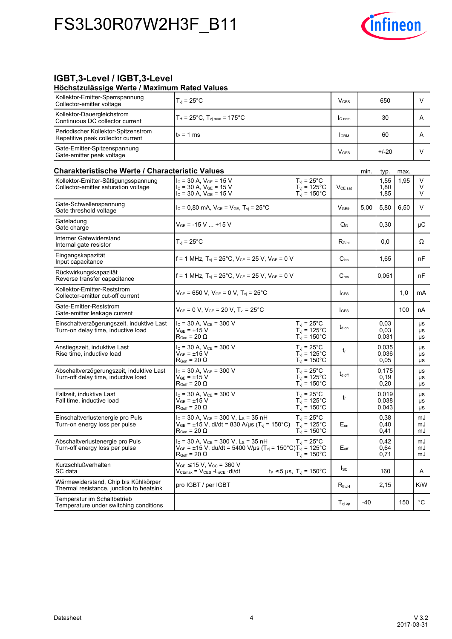

#### **IGBT,3-Level / IGBT,3-Level Höchstzulässige-Werte-/-**

| Höchstzulässige Werte / Maximum Rated Values                                     |                                                                                                                                                                                  |                                                                                      |                         |      |                         |      |                |
|----------------------------------------------------------------------------------|----------------------------------------------------------------------------------------------------------------------------------------------------------------------------------|--------------------------------------------------------------------------------------|-------------------------|------|-------------------------|------|----------------|
| Kollektor-Emitter-Sperrspannung<br>Collector-emitter voltage                     | $T_{\rm vi}$ = 25°C                                                                                                                                                              |                                                                                      | <b>V</b> <sub>CES</sub> |      | 650                     |      | V              |
| Kollektor-Dauergleichstrom<br>Continuous DC collector current                    | $T_H = 25^{\circ}C$ , $T_{vj \, max} = 175^{\circ}C$                                                                                                                             |                                                                                      | I <sub>C</sub> nom      |      | 30                      |      | A              |
| Periodischer Kollektor-Spitzenstrom<br>Repetitive peak collector current         | tբ = 1 ms                                                                                                                                                                        |                                                                                      | <b>I</b> CRM            |      | 60                      |      | A              |
| Gate-Emitter-Spitzenspannung<br>Gate-emitter peak voltage                        |                                                                                                                                                                                  |                                                                                      | <b>V<sub>GES</sub></b>  |      | $+/-20$                 |      | V              |
| <b>Charakteristische Werte / Characteristic Values</b>                           |                                                                                                                                                                                  |                                                                                      |                         | min. | typ.                    | max. |                |
| Kollektor-Emitter-Sättigungsspannung<br>Collector-emitter saturation voltage     | $I_c = 30$ A, $V_{GE} = 15$ V<br>$I_{C}$ = 30 A, $V_{GE}$ = 15 V<br>$I_C = 30 A$ , $V_{GE} = 15 V$                                                                               | $T_{vi} = 25^{\circ}$ C<br>$T_{\rm vj}$ = 125°C<br>$T_{\text{vj}}$ = 150°C           | V <sub>CE</sub> sat     |      | 1,55<br>1,80<br>1,85    | 1,95 | V<br>V<br>V    |
| Gate-Schwellenspannung<br>Gate threshold voltage                                 | $I_c = 0.80$ mA, $V_{CE} = V_{GE}$ , $T_{vi} = 25^{\circ}$ C                                                                                                                     |                                                                                      | $V$ GEth                | 5,00 | 5,80                    | 6,50 | V              |
| Gateladung<br>Gate charge                                                        | V <sub>GF</sub> = -15 V  +15 V                                                                                                                                                   |                                                                                      | $Q_{G}$                 |      | 0,30                    |      | μC             |
| Interner Gatewiderstand<br>Internal gate resistor                                | $T_{\rm{vi}}$ = 25°C                                                                                                                                                             |                                                                                      | $R_{\text{Gint}}$       |      | 0,0                     |      | Ω              |
| Eingangskapazität<br>Input capacitance                                           | $f = 1$ MHz, $T_{vi} = 25^{\circ}$ C, $V_{CE} = 25$ V, $V_{GE} = 0$ V                                                                                                            |                                                                                      | $C_{\text{ies}}$        |      | 1,65                    |      | nF             |
| Rückwirkungskapazität<br>Reverse transfer capacitance                            | f = 1 MHz, $T_{\text{vj}}$ = 25°C, $V_{\text{CE}}$ = 25 V, $V_{\text{GE}}$ = 0 V                                                                                                 |                                                                                      | $C_{res}$               |      | 0.051                   |      | nF             |
| Kollektor-Emitter-Reststrom<br>Collector-emitter cut-off current                 | $V_{CE}$ = 650 V, $V_{GE}$ = 0 V, $T_{vi}$ = 25°C                                                                                                                                |                                                                                      | <b>I</b> CES            |      |                         | 1,0  | mA             |
| Gate-Emitter-Reststrom<br>Gate-emitter leakage current                           | $V_{CE}$ = 0 V, $V_{GE}$ = 20 V, T <sub>vj</sub> = 25°C                                                                                                                          |                                                                                      | <b>I</b> GES            |      |                         | 100  | nA             |
| Einschaltverzögerungszeit, induktive Last<br>Turn-on delay time, inductive load  | $I_C$ = 30 A, $V_{CE}$ = 300 V<br>$\mathsf{V}_{\mathsf{GE}}$ = ±15 $\mathsf{V}$<br>$R_{\text{Gon}} = 20 \Omega$                                                                  | $T_{vi}$ = 25°C<br>$T_{vi}$ = 125°C<br>$T_{vi}$ = 150 $^{\circ}$ C                   | $t_{d \text{ on}}$      |      | 0,03<br>0,03<br>0,031   |      | μs<br>μs<br>μs |
| Anstiegszeit, induktive Last<br>Rise time, inductive load                        | $I_C$ = 30 A, $V_{CE}$ = 300 V<br>V <sub>GE</sub> = ±15 V<br>$\mathsf{R}_{\mathsf{Gon}}$ = 20 $\Omega$                                                                           | $T_{vi}$ = 25 $^{\circ}$ C<br>$T_{vi}$ = 125°C<br>$T_{\text{vj}}$ = 150 $^{\circ}$ C | t,                      |      | 0,035<br>0,036<br>0,05  |      | μs<br>μs<br>μs |
| Abschaltverzögerungszeit, induktive Last<br>Turn-off delay time, inductive load  | $I_c = 30 A$ , $V_{CE} = 300 V$<br>$\rm V_{GE}$ = $\pm 15~\rm V$<br>$R_{Goff}$ = 20 $\Omega$                                                                                     | $T_{vi}$ = 25 $^{\circ}$ C<br>$T_{\text{vj}}$ = 125°C<br>$T_{\text{vj}}$ = 150°C     | $t_{d \text{ off}}$     |      | 0,175<br>0,19<br>0,20   |      | μs<br>μs<br>μs |
| Fallzeit, induktive Last<br>Fall time, inductive load                            | $I_C$ = 30 A, $V_{CE}$ = 300 V<br>$V_{GF}$ = ±15 V<br>$R_{Goff}$ = 20 $\Omega$                                                                                                   | $T_{vi}$ = 25 $^{\circ}$ C<br>$T_{vi}$ = 125°C<br>$T_{vi}$ = 150 $^{\circ}$ C        | tr                      |      | 0,019<br>0,038<br>0,043 |      | μs<br>μs<br>μs |
| Einschaltverlustenergie pro Puls<br>Turn-on energy loss per pulse                | $I_c$ = 30 A, $V_{CE}$ = 300 V, L <sub>s</sub> = 35 nH<br>$V_{GE}$ = ±15 V, di/dt = 830 A/µs (T <sub>vj</sub> = 150°C) T <sub>vj</sub> = 125°C<br>$R_{\text{Gon}}$ = 20 $\Omega$ | $T_{vi}$ = 25°C<br>$T_{vi}$ = 150 $^{\circ}$ C                                       | $E_{on}$                |      | 0,38<br>0,40<br>0,41    |      | mJ<br>mJ<br>mJ |
| Abschaltverlustenergie pro Puls<br>Turn-off energy loss per pulse                | $I_c$ = 30 A, $V_{CE}$ = 300 V, L <sub>s</sub> = 35 nH<br>$V_{GE}$ = ±15 V, du/dt = 5400 V/µs (T <sub>vj</sub> = 150°C)T <sub>vj</sub> = 125°C<br>$\rm R_{Goff}$ = 20 $\Omega$   | $T_{vi}$ = 25 $^{\circ}$ C<br>$T_{vi}$ = 150 $^{\circ}$ C                            | $E_{\text{off}}$        |      | 0,42<br>0,64<br>0,71    |      | mJ<br>mJ<br>mJ |
| Kurzschlußverhalten<br>SC data                                                   | $V_{GE} \le 15$ V, $V_{CC}$ = 360 V<br>$V_{CEmax}$ = $V_{CES}$ - $L_{sCE}$ ·di/dt                                                                                                | $t_P \le 5$ µs, $T_{vi} = 150^{\circ}$ C                                             | $I_{SC}$                |      | 160                     |      | A              |
| Wärmewiderstand, Chip bis Kühlkörper<br>Thermal resistance, junction to heatsink | pro IGBT / per IGBT                                                                                                                                                              |                                                                                      | $R_{thJH}$              |      | 2,15                    |      | K/W            |
| Temperatur im Schaltbetrieb<br>Temperature under switching conditions            |                                                                                                                                                                                  |                                                                                      | $T_{\mathsf{vj\,op}}$   | -40  |                         | 150  | $^{\circ}$ C   |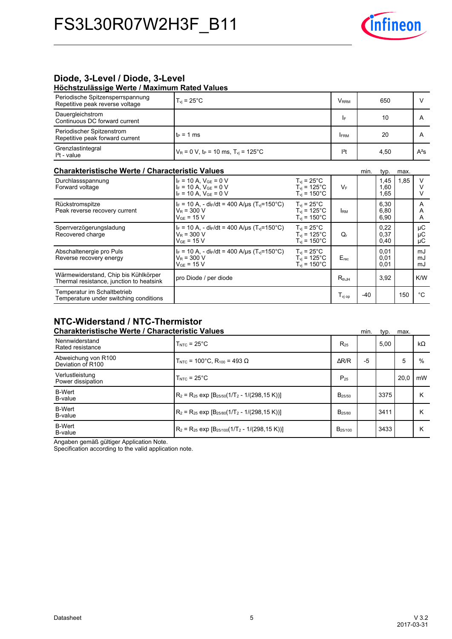

# Diode, 3-Level / Diode, 3-Level

**Höchstzulässige-Werte-/-Maximum-Rated-Values**

| Periodische Spitzensperrspannung<br>Repetitive peak reverse voltage            | $T_{\rm vi}$ = 25°C.                                                      | <b>V</b> RRM                                   |  | 650            |      |        |  |
|--------------------------------------------------------------------------------|---------------------------------------------------------------------------|------------------------------------------------|--|----------------|------|--------|--|
| Dauergleichstrom<br>Continuous DC forward current                              |                                                                           | I۴                                             |  | 10             |      | A      |  |
| Periodischer Spitzenstrom<br>Repetitive peak forward current                   | $t_P = 1$ ms                                                              | <b>IFRM</b>                                    |  | 20             |      | А      |  |
| Grenzlastintegral<br>$I2t$ - value                                             | $V_R = 0$ V, t <sub>P</sub> = 10 ms, T <sub>vi</sub> = 125 <sup>°</sup> C | $ ^{2}t$                                       |  | 4.50           |      | $A^2S$ |  |
| <b>Charakteristische Werte / Characteristic Values</b><br>min.<br>typ.<br>max. |                                                                           |                                                |  |                |      |        |  |
| Durchlassspannung<br>المتمطلون المسمين ومساري                                  | $I_F = 10 A$ , $V_{GE} = 0 V$<br>$-40A$ $V = 0$                           | $T_{\rm vi}$ = 25°C.<br>$\lambda$<br>$T = 40F$ |  | 1,45<br>$\sim$ | 1,85 |        |  |

| Durchlassspannung<br>Forward voltage                                             | $F = 10 A$ , $V_{GF} = 0 V$<br>$I_F = 10 A$ , $V_{GF} = 0 V$<br>$I_F = 10 A$ , $V_{GE} = 0 V$                | $T_{vi}$ = 25 $^{\circ}$ C<br>$T_{\text{vi}}$ = 125 $^{\circ}$ C<br>$T_{\rm vi}$ = 150°C | <b>VF</b>              |       | 1,45<br>1,60<br>1,65 | 1,85 | V              |
|----------------------------------------------------------------------------------|--------------------------------------------------------------------------------------------------------------|------------------------------------------------------------------------------------------|------------------------|-------|----------------------|------|----------------|
| Rückstromspitze<br>Peak reverse recovery current                                 | $I_F = 10 A$ , - di $_F/dt = 400 A/\mu s$ (T <sub>vi</sub> =150°C)<br>$V_{\rm R}$ = 300 V<br>$V_{GF}$ = 15 V | $T_{vi}$ = 25 $^{\circ}$ C<br>$T_{\rm vi}$ = 125°C.<br>$T_{\rm vi}$ = 150°C              | <b>I</b> <sub>RM</sub> |       | 6,30<br>6,80<br>6,90 |      | Α<br>Α<br>A    |
| Sperrverzögerungsladung<br>Recovered charge                                      | $I_F = 10 A$ , - di $_F/dt = 400 A/\mu s$ (T <sub>vi</sub> =150°C)<br>$V_{\rm R}$ = 300 V<br>$V_{GE}$ = 15 V | $T_{vi}$ = 25°C<br>$T_{\rm vi}$ = 125°C.<br>$T_{\rm vi}$ = 150°C.                        | Q,                     |       | 0,22<br>0,37<br>0,40 |      | μC<br>μC<br>μC |
| Abschaltenergie pro Puls<br>Reverse recovery energy                              | $I_F = 10 A$ , - di <sub>F</sub> /dt = 400 A/us (T <sub>vi</sub> =150°C)<br>$V_R = 300 V$<br>$V_{GE}$ = 15 V | $T_{vi}$ = 25°C<br>$T_{\rm vi}$ = 125°C<br>$T_{\rm vi}$ = 150 $^{\circ}$ C               | $E_{rec}$              |       | 0,01<br>0,01<br>0,01 |      | mJ<br>mJ<br>mJ |
| Wärmewiderstand, Chip bis Kühlkörper<br>Thermal resistance, junction to heatsink | pro Diode / per diode                                                                                        |                                                                                          | $R_{thJH}$             |       | 3,92                 |      | K/W            |
| Temperatur im Schaltbetrieb<br>Temperature under switching conditions            |                                                                                                              |                                                                                          | $T_{\mathsf{vj\,op}}$  | $-40$ |                      | 150  | °C             |

# **NTC-Widerstand-/-NTC-Thermistor**

| <b>Charakteristische Werte / Characteristic Values</b> |                                                                           |                     |    | typ. | max. |           |
|--------------------------------------------------------|---------------------------------------------------------------------------|---------------------|----|------|------|-----------|
| Nennwiderstand<br>Rated resistance                     | $TNTC = 25°C$                                                             | $R_{25}$            |    | 5,00 |      | $k\Omega$ |
| Abweichung von R100<br>Deviation of R100               | T <sub>NTC</sub> = 100°C, R <sub>100</sub> = 493 Ω                        | $\Delta$ R/R        | -5 |      | 5    | %         |
| Verlustleistung<br>Power dissipation                   | $TNTC = 25°C$                                                             | $P_{25}$            |    |      | 20,0 | mW        |
| <b>B-Wert</b><br>B-value                               | $R_2 = R_{25}$ exp $[B_{25/50}(1/T_2 - 1/(298, 15 K))]$                   | $B_{25/50}$         |    | 3375 |      | κ         |
| <b>B-Wert</b><br>B-value                               | $\rm R_2$ = R <sub>25</sub> exp $\rm [B_{25/80}(1/T_2 - 1/(298, 15 K))]$  | B <sub>25/80</sub>  |    | 3411 |      | κ         |
| <b>B-Wert</b><br>B-value                               | $\rm R_2$ = R <sub>25</sub> exp $\rm [B_{25/100}(1/T_2 - 1/(298, 15 K))]$ | B <sub>25/100</sub> |    | 3433 |      | κ         |

Angaben gemäß gültiger Application Note.

Specification according to the valid application note.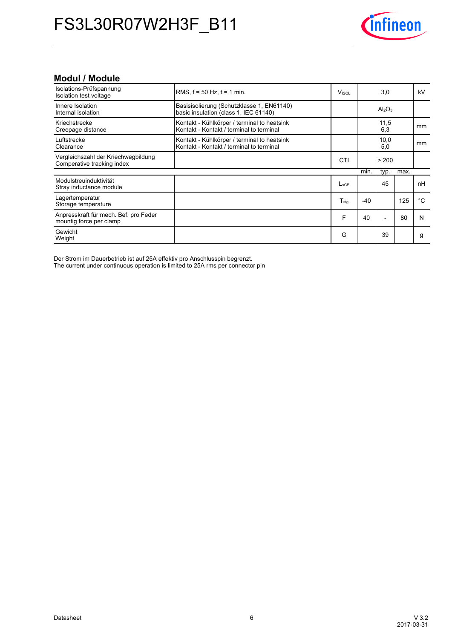

## **Modul-/-Module**

| Isolations-Prüfspannung<br>Isolation test voltage                 | RMS, $f = 50$ Hz, $t = 1$ min.                                                          | <b>V</b> <sub>ISOL</sub> |       | 3,0                            |      | kV |
|-------------------------------------------------------------------|-----------------------------------------------------------------------------------------|--------------------------|-------|--------------------------------|------|----|
| Innere Isolation<br>Internal isolation                            | Basisisolierung (Schutzklasse 1, EN61140)<br>basic insulation (class 1, IEC 61140)      |                          |       | Al <sub>2</sub> O <sub>3</sub> |      |    |
| Kriechstrecke<br>Creepage distance                                | Kontakt - Kühlkörper / terminal to heatsink<br>Kontakt - Kontakt / terminal to terminal |                          |       | 11,5<br>6,3                    |      | mm |
| Luftstrecke<br>Clearance                                          | Kontakt - Kühlkörper / terminal to heatsink<br>Kontakt - Kontakt / terminal to terminal |                          |       | 10,0<br>5,0                    |      | mm |
| Vergleichszahl der Kriechwegbildung<br>Comperative tracking index |                                                                                         | <b>CTI</b>               |       | > 200                          |      |    |
|                                                                   |                                                                                         |                          | min.  | typ.                           | max. |    |
| Modulstreuinduktivität<br>Stray inductance module                 |                                                                                         | L <sub>sCE</sub>         |       | 45                             |      | nH |
| Lagertemperatur<br>Storage temperature                            |                                                                                         | $T_{\sf stg}$            | $-40$ |                                | 125  | °C |
| Anpresskraft für mech. Bef. pro Feder<br>mountig force per clamp  |                                                                                         | F                        | 40    |                                | 80   | N  |
| Gewicht<br>Weight                                                 |                                                                                         | G                        |       | 39                             |      | g  |

Der Strom im Dauerbetrieb ist auf 25A effektiv pro Anschlusspin begrenzt.

The current under continuous operation is limited to 25A rms per connector pin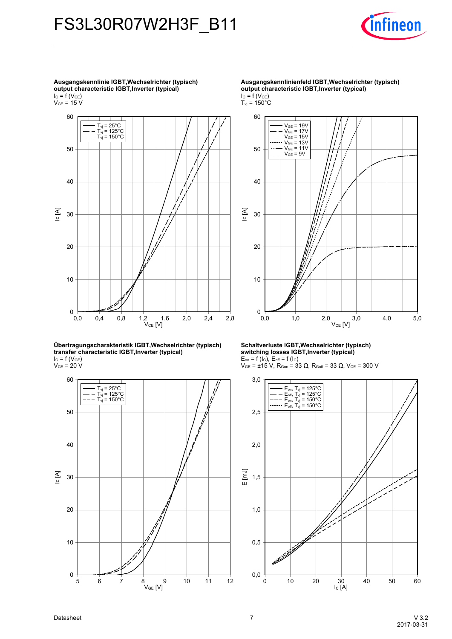

**Ausgangskennlinie-IGBT,Wechselrichter-(typisch) output-characteristic-IGBT,Inverter-(typical)**  $I_{C}$  = f (V<sub>CE</sub>)

 $\rm V_{GE}$  = 15 V



**Übertragungscharakteristik-IGBT,Wechselrichter-(typisch) transfer-characteristic-IGBT,Inverter-(typical)**  $I_{C}$  = f (V<sub>GE</sub>)  $V_{CE}$  = 20 V



**Ausgangskennlinienfeld-IGBT,Wechselrichter-(typisch) output-characteristic-IGBT,Inverter-(typical)**  $I_{C} = f(V_{CE})$  $T_{\rm vj}$  = 150°C



**Schaltverluste-IGBT,Wechselrichter-(typisch) switching-losses-IGBT,Inverter-(typical)**  $E_{on}$  = f (I<sub>C</sub>),  $E_{off}$  = f (I<sub>C</sub>)

 $V_{GE}$  = ±15 V, R<sub>Gon</sub> = 33 Ω, R<sub>Goff</sub> = 33 Ω, V<sub>CE</sub> = 300 V

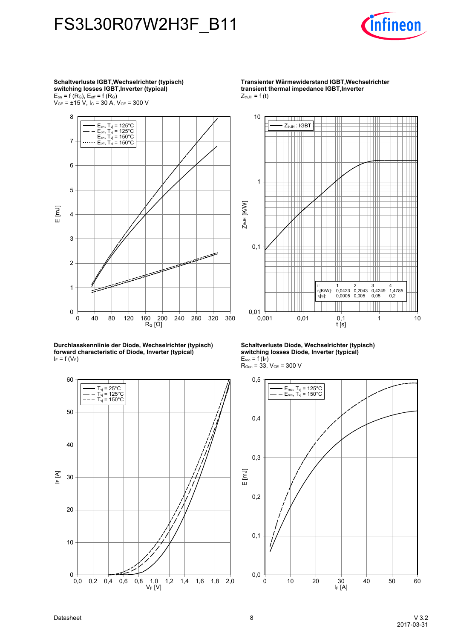

**Schaltverluste-IGBT,Wechselrichter-(typisch) switching-losses-IGBT,Inverter-(typical)**  $E_{on}$  = f ( $R_G$ ),  $E_{off}$  = f ( $R_G$ )  $V_{GE}$  = ±15 V, I<sub>C</sub> = 30 A, V<sub>CE</sub> = 300 V



**Durchlasskennlinie-der-Diode,-Wechselrichter-(typisch) forward-characteristic-of-Diode,-Inverter-(typical)**  $I_F = f(V_F)$ 



**Transienter-Wärmewiderstand-IGBT,Wechselrichtertransient thermal impedance IGBT, Inverter**  $Z_{thJH}$  = f (t)



**Schaltverluste-Diode,-Wechselrichter-(typisch) switching-losses-Diode,-Inverter-(typical)**  $E_{rec}$  = f ( $I_F$ )  $R_{\text{Gon}} = 33, V_{\text{CE}} = 300 V$ 

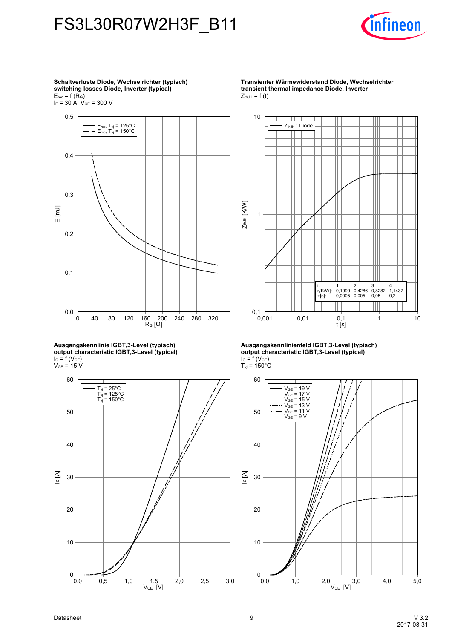

**Schaltverluste-Diode,-Wechselrichter-(typisch) switching-losses-Diode,-Inverter-(typical)**  $E_{rec}$  = f (R<sub>G</sub>)  $I_F$  = 30 A,  $V_{CE}$  = 300 V

60 200<br>R<sub>G</sub> [Ω] E [mJ] 0 40 80 120 160 200 240 280 320 0,0 0,1 0,2 0,3 0,4 0,5 Erec, Tvj = 125°C Erec, Tvj = 150°C

**Ausgangskennlinie-IGBT,3-Level-(typisch) output-characteristic-IGBT,3-Level-(typical)**  $I_{C}$  = f (V<sub>CE</sub>)  $V_{GE}$  = 15 V



**Transienter-Wärmewiderstand-Diode,-Wechselrichter transient thermal impedance Diode, Inverter**  $Z_{thJH}$  = f (t)



**Ausgangskennlinienfeld-IGBT,3-Level-(typisch) output-characteristic-IGBT,3-Level-(typical)**  $I_{C} = f(V_{CE})$  $T_{\rm vj}$  = 150 $^{\circ}$ C

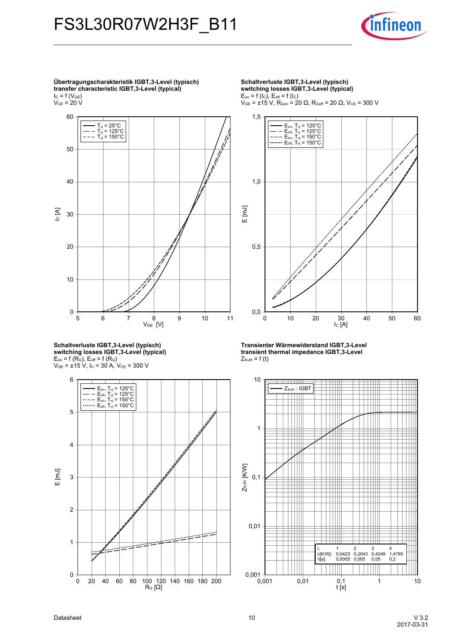

**Übertragungscharakteristik-IGBT,3-Level-(typisch) transfer-characteristic-IGBT,3-Level-(typical)**  $I_{C}$  = f (V<sub>GE</sub>)



**Schaltverluste-IGBT,3-Level-(typisch) switching-losses-IGBT,3-Level-(typical)**  $E_{on}$  = f ( $R_G$ ),  $E_{off}$  = f ( $R_G$ )  $V_{GE}$  =  $\pm$ 15 V, I<sub>C</sub> = 30 A, V<sub>CE</sub> = 300 V



**Schaltverluste-IGBT,3-Level-(typisch) switching-losses-IGBT,3-Level-(typical)**  $E_{on}$  = f (I<sub>C</sub>),  $E_{off}$  = f (I<sub>C</sub>)  $V_{GE}$  = ±15 V, R<sub>Gon</sub> = 20 Ω, R<sub>Goff</sub> = 20 Ω, V<sub>CE</sub> = 300 V



**Transienter-Wärmewiderstand-IGBT,3-Leveltransient thermal impedance IGBT,3-Level**  $Z_{thJH}$  = f (t)

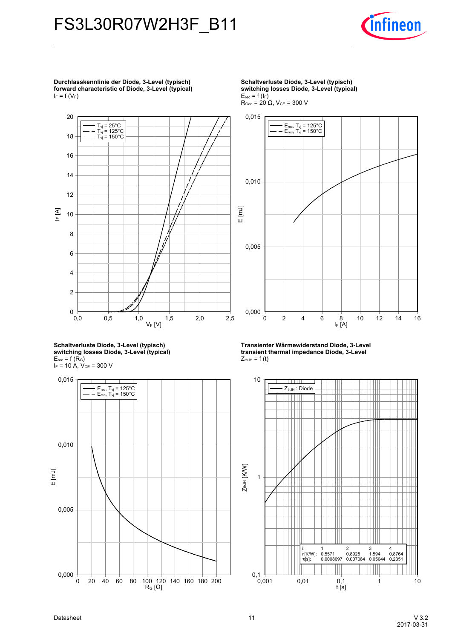

**Durchlasskennlinie-der-Diode,-3-Level-(typisch) forward-characteristic-of-Diode,-3-Level-(typical)**  $I_F = f(V_F)$ 



**Schaltverluste-Diode,-3-Level-(typisch) switching-losses-Diode,-3-Level-(typical)**  $E_{rec}$  = f (R<sub>G</sub>)  $I_F = 10 A$ ,  $V_{CE} = 300 V$ 



**Schaltverluste Diode, 3-Level (typisch) switching-losses-Diode,-3-Level-(typical)**  $E_{rec}$  = f ( $I_F$ )  $R_{\text{Gon}} = 20 \Omega$ ,  $V_{\text{CE}} = 300 V$ 



**Transienter-Wärmewiderstand-Diode,-3-Leveltransient thermal impedance Diode, 3-Level**  $Z_{thJH}$  = f (t)

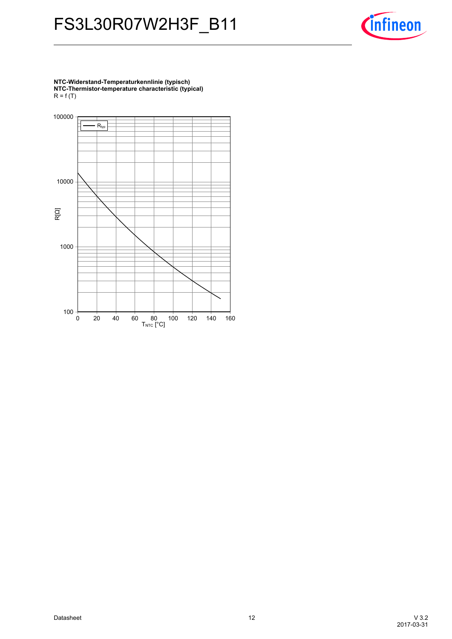

**NTC-Widerstand-Temperaturkennlinie-(typisch) NTC-Thermistor-temperature-characteristic-(typical)**  $R = f(T)$ 

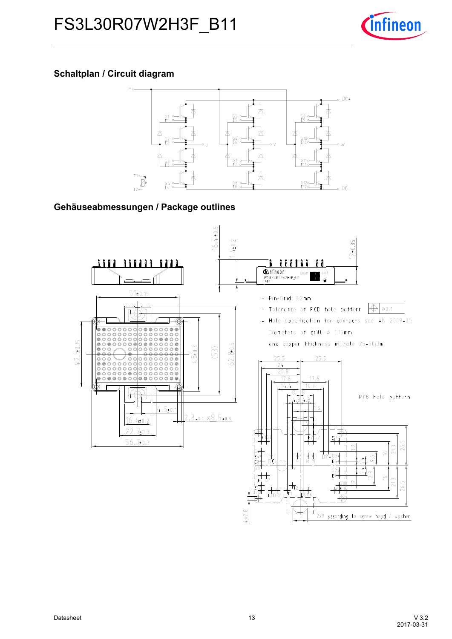

# **Schaltplan / Circuit diagram**



## Gehäuseabmessungen / Package outlines